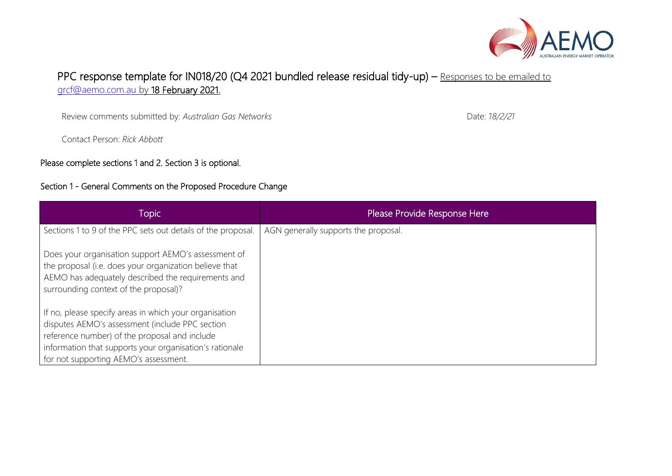

# PPC response template for IN018/20 (Q4 2021 bundled release residual tidy-up) – Responses to be emailed to [grcf@aemo.com.au](mailto:grcf@aemo.com.au) by 18 February 2021.

Review comments submitted by: *Australian Gas Networks*

Contact Person: *Rick Abbott*

Please complete sections 1 and 2. Section 3 is optional.

#### Section 1 - General Comments on the Proposed Procedure Change

Topic Please Provide Response Here Sections 1 to 9 of the PPC sets out details of the proposal. Does your organisation support AEMO's assessment of the proposal (i.e. does your organization believe that AEMO has adequately described the requirements and surrounding context of the proposal)? If no, please specify areas in which your organisation disputes AEMO's assessment (include PPC section reference number) of the proposal and include information that supports your organisation's rationale for not supporting AEMO's assessment. AGN generally supports the proposal.

Date: *18/2/21*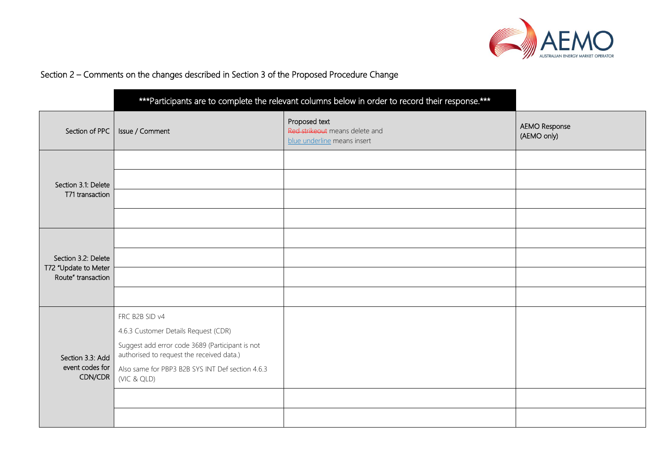

## Section 2 – Comments on the changes described in Section 3 of the Proposed Procedure Change

|                                                | *** Participants are to complete the relevant columns below in order to record their response.*** |                                                                                |                              |
|------------------------------------------------|---------------------------------------------------------------------------------------------------|--------------------------------------------------------------------------------|------------------------------|
| Section of PPC                                 | Issue / Comment                                                                                   | Proposed text<br>Red strikeout means delete and<br>blue underline means insert | AEMO Response<br>(AEMO only) |
| Section 3.1: Delete<br>T71 transaction         |                                                                                                   |                                                                                |                              |
|                                                |                                                                                                   |                                                                                |                              |
|                                                |                                                                                                   |                                                                                |                              |
|                                                |                                                                                                   |                                                                                |                              |
| Section 3.2: Delete                            |                                                                                                   |                                                                                |                              |
|                                                |                                                                                                   |                                                                                |                              |
| T72 "Update to Meter<br>Route" transaction     |                                                                                                   |                                                                                |                              |
|                                                |                                                                                                   |                                                                                |                              |
|                                                | FRC B2B SID v4                                                                                    |                                                                                |                              |
|                                                | 4.6.3 Customer Details Request (CDR)                                                              |                                                                                |                              |
| Section 3.3: Add<br>event codes for<br>CDN/CDR | Suggest add error code 3689 (Participant is not<br>authorised to request the received data.)      |                                                                                |                              |
|                                                | Also same for PBP3 B2B SYS INT Def section 4.6.3<br>(VIC & QLD)                                   |                                                                                |                              |
|                                                |                                                                                                   |                                                                                |                              |
|                                                |                                                                                                   |                                                                                |                              |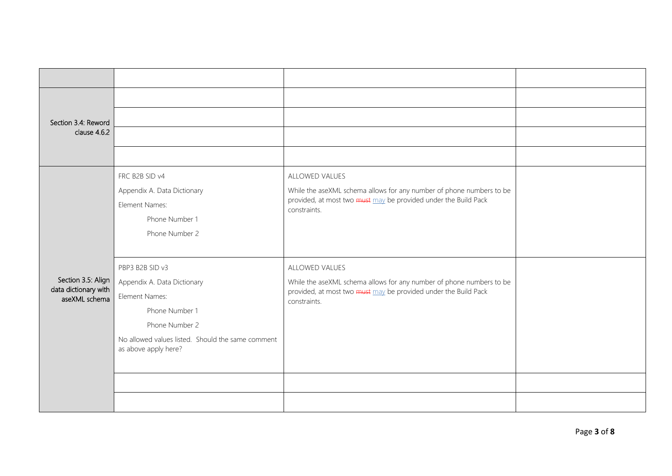| Section 3.4: Reword<br>clause 4.6.2                         |                                                                                                                                                                                   |                                                                                                                                                                           |  |
|-------------------------------------------------------------|-----------------------------------------------------------------------------------------------------------------------------------------------------------------------------------|---------------------------------------------------------------------------------------------------------------------------------------------------------------------------|--|
|                                                             |                                                                                                                                                                                   |                                                                                                                                                                           |  |
|                                                             | FRC B2B SID v4<br>Appendix A. Data Dictionary<br>Element Names:<br>Phone Number 1<br>Phone Number 2                                                                               | ALLOWED VALUES<br>While the aseXML schema allows for any number of phone numbers to be<br>provided, at most two must may be provided under the Build Pack<br>constraints. |  |
| Section 3.5: Align<br>data dictionary with<br>aseXML schema | PBP3 B2B SID v3<br>Appendix A. Data Dictionary<br>Element Names:<br>Phone Number 1<br>Phone Number 2<br>No allowed values listed. Should the same comment<br>as above apply here? | ALLOWED VALUES<br>While the aseXML schema allows for any number of phone numbers to be<br>provided, at most two must may be provided under the Build Pack<br>constraints. |  |
|                                                             |                                                                                                                                                                                   |                                                                                                                                                                           |  |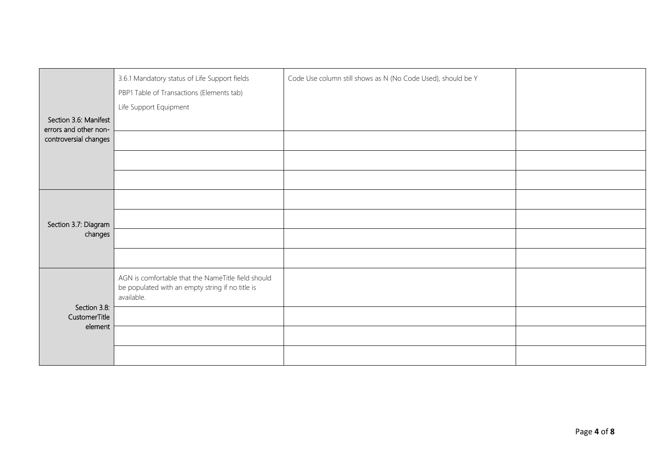| Section 3.6: Manifest<br>errors and other non-<br>controversial changes | 3.6.1 Mandatory status of Life Support fields<br>PBP1 Table of Transactions (Elements tab)<br>Life Support Equipment | Code Use column still shows as N (No Code Used), should be Y |  |
|-------------------------------------------------------------------------|----------------------------------------------------------------------------------------------------------------------|--------------------------------------------------------------|--|
| Section 3.7: Diagram<br>changes                                         |                                                                                                                      |                                                              |  |
| Section 3.8:<br>CustomerTitle<br>element                                | AGN is comfortable that the NameTitle field should<br>be populated with an empty string if no title is<br>available. |                                                              |  |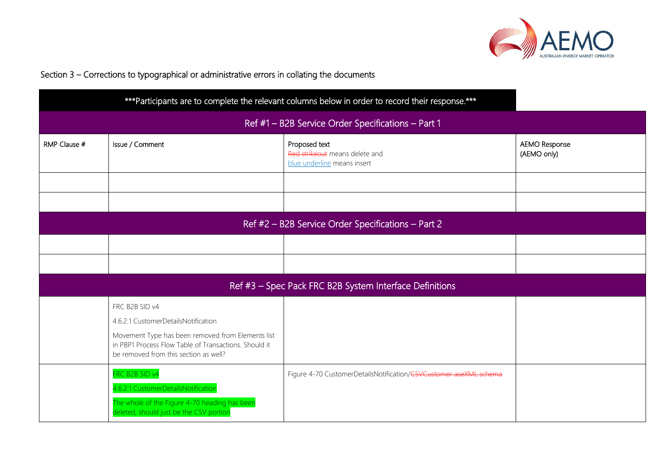

## Section 3 – Corrections to typographical or administrative errors in collating the documents

| *** Participants are to complete the relevant columns below in order to record their response.*** |                                                                                                                                                                                                              |                                                                                |                                     |
|---------------------------------------------------------------------------------------------------|--------------------------------------------------------------------------------------------------------------------------------------------------------------------------------------------------------------|--------------------------------------------------------------------------------|-------------------------------------|
| Ref #1 - B2B Service Order Specifications - Part 1                                                |                                                                                                                                                                                                              |                                                                                |                                     |
| RMP Clause #                                                                                      | Issue / Comment                                                                                                                                                                                              | Proposed text<br>Red strikeout means delete and<br>blue underline means insert | <b>AEMO Response</b><br>(AEMO only) |
|                                                                                                   |                                                                                                                                                                                                              |                                                                                |                                     |
| Ref #2 - B2B Service Order Specifications - Part 2                                                |                                                                                                                                                                                                              |                                                                                |                                     |
|                                                                                                   |                                                                                                                                                                                                              |                                                                                |                                     |
|                                                                                                   |                                                                                                                                                                                                              |                                                                                |                                     |
|                                                                                                   | Ref #3 - Spec Pack FRC B2B System Interface Definitions                                                                                                                                                      |                                                                                |                                     |
|                                                                                                   | FRC B2B SID v4<br>4.6.2.1 CustomerDetailsNotification<br>Movement Type has been removed from Elements list<br>in PBP1 Process Flow Table of Transactions. Should it<br>be removed from this section as well? |                                                                                |                                     |
|                                                                                                   | FRC B2B SID v4<br>4.6.2.1 CustomerDetailsNotification<br>The whole of the Figure 4-70 heading has been<br>deleted, should just be the CSV portion                                                            | Figure 4-70 CustomerDetailsNotification/CSVCustomer aseXML schema              |                                     |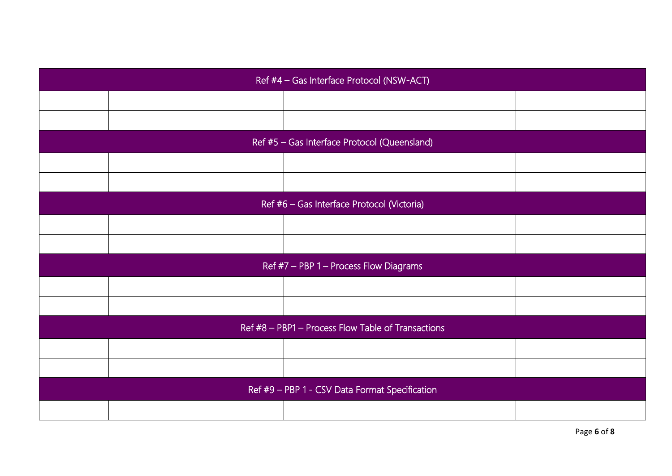| Ref #4 - Gas Interface Protocol (NSW-ACT)          |                                            |  |  |
|----------------------------------------------------|--------------------------------------------|--|--|
|                                                    |                                            |  |  |
|                                                    |                                            |  |  |
| Ref #5 - Gas Interface Protocol (Queensland)       |                                            |  |  |
|                                                    |                                            |  |  |
|                                                    |                                            |  |  |
|                                                    | Ref #6 - Gas Interface Protocol (Victoria) |  |  |
|                                                    |                                            |  |  |
|                                                    |                                            |  |  |
| Ref #7 - PBP 1 - Process Flow Diagrams             |                                            |  |  |
|                                                    |                                            |  |  |
|                                                    |                                            |  |  |
| Ref #8 - PBP1 - Process Flow Table of Transactions |                                            |  |  |
|                                                    |                                            |  |  |
|                                                    |                                            |  |  |
| Ref #9 - PBP 1 - CSV Data Format Specification     |                                            |  |  |
|                                                    |                                            |  |  |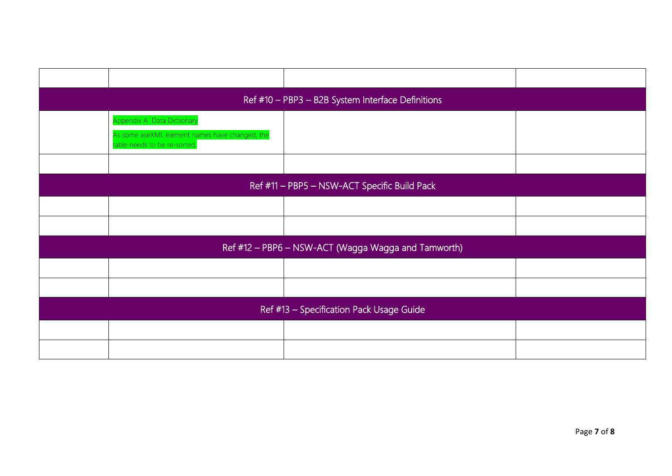|                                                     | Ref #10 - PBP3 - B2B System Interface Definitions                                                            |  |  |
|-----------------------------------------------------|--------------------------------------------------------------------------------------------------------------|--|--|
|                                                     | Appendix A Data Dictionary<br>As some aseXML element names have changed, the<br>table needs to be re-sorted. |  |  |
|                                                     |                                                                                                              |  |  |
| Ref #11 - PBP5 - NSW-ACT Specific Build Pack        |                                                                                                              |  |  |
|                                                     |                                                                                                              |  |  |
|                                                     |                                                                                                              |  |  |
| Ref #12 - PBP6 - NSW-ACT (Wagga Wagga and Tamworth) |                                                                                                              |  |  |
|                                                     |                                                                                                              |  |  |
|                                                     |                                                                                                              |  |  |
| Ref #13 - Specification Pack Usage Guide            |                                                                                                              |  |  |
|                                                     |                                                                                                              |  |  |
|                                                     |                                                                                                              |  |  |